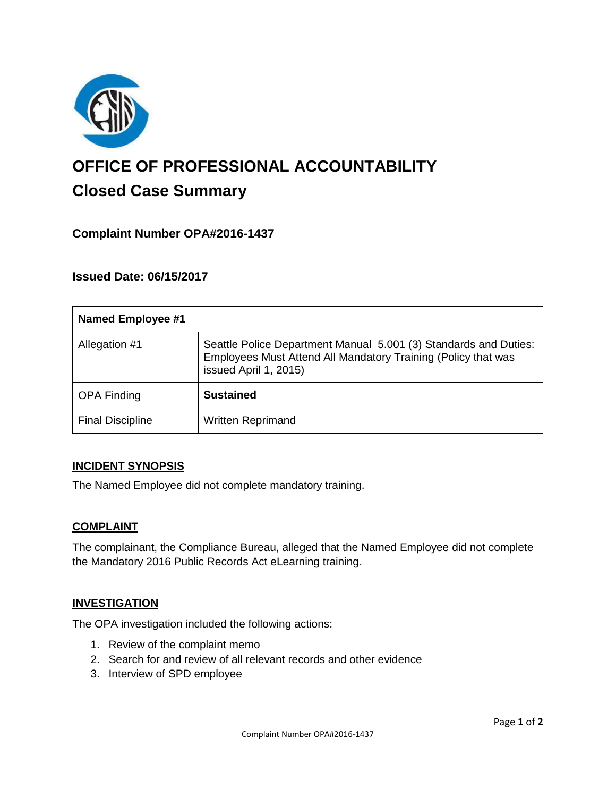

# **OFFICE OF PROFESSIONAL ACCOUNTABILITY Closed Case Summary**

# **Complaint Number OPA#2016-1437**

## **Issued Date: 06/15/2017**

| <b>Named Employee #1</b> |                                                                                                                                                            |
|--------------------------|------------------------------------------------------------------------------------------------------------------------------------------------------------|
| Allegation #1            | Seattle Police Department Manual 5.001 (3) Standards and Duties:<br>Employees Must Attend All Mandatory Training (Policy that was<br>issued April 1, 2015) |
| <b>OPA Finding</b>       | <b>Sustained</b>                                                                                                                                           |
| <b>Final Discipline</b>  | <b>Written Reprimand</b>                                                                                                                                   |

#### **INCIDENT SYNOPSIS**

The Named Employee did not complete mandatory training.

#### **COMPLAINT**

The complainant, the Compliance Bureau, alleged that the Named Employee did not complete the Mandatory 2016 Public Records Act eLearning training.

#### **INVESTIGATION**

The OPA investigation included the following actions:

- 1. Review of the complaint memo
- 2. Search for and review of all relevant records and other evidence
- 3. Interview of SPD employee